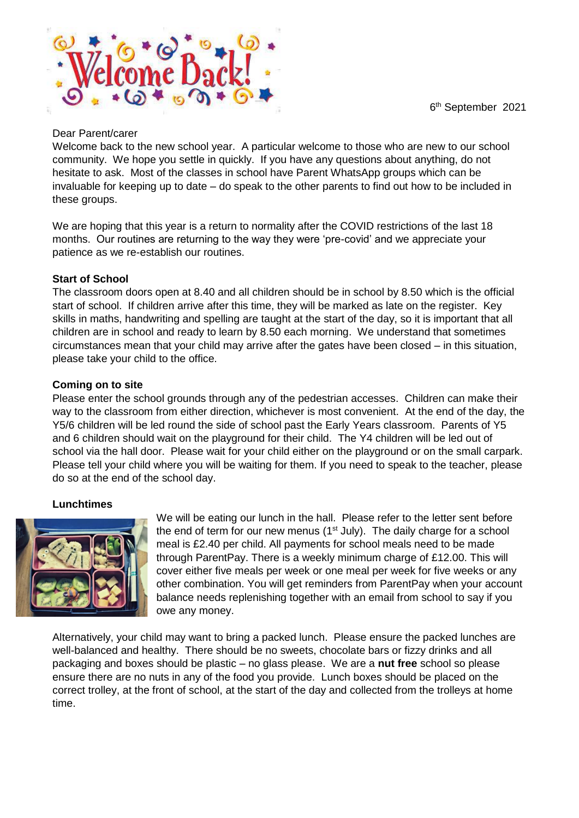6 th September 2021



#### Dear Parent/carer

Welcome back to the new school year. A particular welcome to those who are new to our school community. We hope you settle in quickly. If you have any questions about anything, do not hesitate to ask. Most of the classes in school have Parent WhatsApp groups which can be invaluable for keeping up to date – do speak to the other parents to find out how to be included in these groups.

We are hoping that this year is a return to normality after the COVID restrictions of the last 18 months. Our routines are returning to the way they were 'pre-covid' and we appreciate your patience as we re-establish our routines.

#### **Start of School**

The classroom doors open at 8.40 and all children should be in school by 8.50 which is the official start of school. If children arrive after this time, they will be marked as late on the register. Key skills in maths, handwriting and spelling are taught at the start of the day, so it is important that all children are in school and ready to learn by 8.50 each morning. We understand that sometimes circumstances mean that your child may arrive after the gates have been closed – in this situation, please take your child to the office.

#### **Coming on to site**

Please enter the school grounds through any of the pedestrian accesses. Children can make their way to the classroom from either direction, whichever is most convenient. At the end of the day, the Y5/6 children will be led round the side of school past the Early Years classroom. Parents of Y5 and 6 children should wait on the playground for their child. The Y4 children will be led out of school via the hall door. Please wait for your child either on the playground or on the small carpark. Please tell your child where you will be waiting for them. If you need to speak to the teacher, please do so at the end of the school day.

#### **Lunchtimes**



We will be eating our lunch in the hall. Please refer to the letter sent before the end of term for our new menus  $(1<sup>st</sup>$  July). The daily charge for a school meal is £2.40 per child. All payments for school meals need to be made through ParentPay. There is a weekly minimum charge of £12.00. This will cover either five meals per week or one meal per week for five weeks or any other combination. You will get reminders from ParentPay when your account balance needs replenishing together with an email from school to say if you owe any money.

Alternatively, your child may want to bring a packed lunch. Please ensure the packed lunches are well-balanced and healthy. There should be no sweets, chocolate bars or fizzy drinks and all packaging and boxes should be plastic – no glass please. We are a **nut free** school so please ensure there are no nuts in any of the food you provide. Lunch boxes should be placed on the correct trolley, at the front of school, at the start of the day and collected from the trolleys at home time.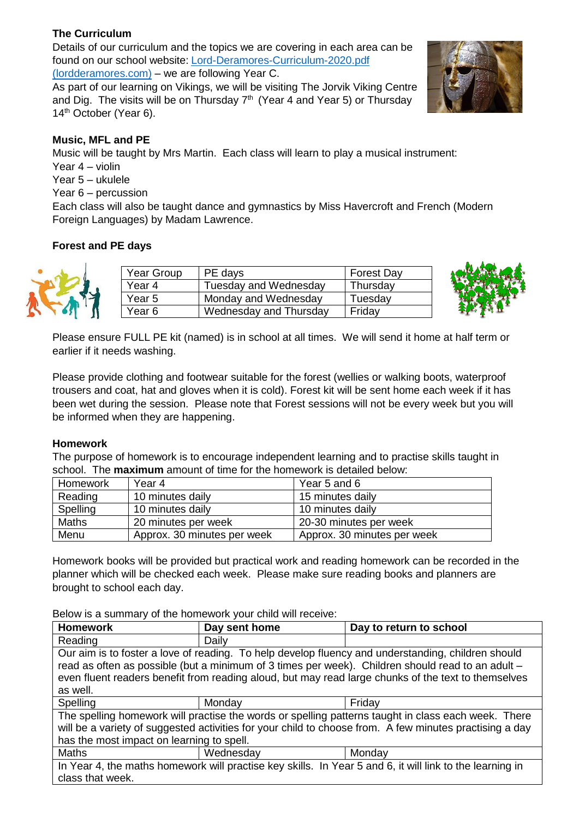# **The Curriculum**

Details of our curriculum and the topics we are covering in each area can be found on our school website: [Lord-Deramores-Curriculum-2020.pdf](http://lordderamores.com/wp-content/uploads/2020/09/Lord-Deramores-Curriculum-2020.pdf)  [\(lordderamores.com\)](http://lordderamores.com/wp-content/uploads/2020/09/Lord-Deramores-Curriculum-2020.pdf) – we are following Year C.

As part of our learning on Vikings, we will be visiting The Jorvik Viking Centre and Dig. The visits will be on Thursday  $7<sup>th</sup>$  (Year 4 and Year 5) or Thursday 14<sup>th</sup> October (Year 6).

# **Music, MFL and PE**

Music will be taught by Mrs Martin. Each class will learn to play a musical instrument:

Year 4 – violin

Year 5 – ukulele

Year 6 – percussion

Each class will also be taught dance and gymnastics by Miss Havercroft and French (Modern Foreign Languages) by Madam Lawrence.

# **Forest and PE days**



| Year Group | PE days                | <b>Forest Day</b> |
|------------|------------------------|-------------------|
| Year 4     | Tuesday and Wednesday  | Thursday          |
| Year 5     | Monday and Wednesday   | Tuesday           |
| Year 6     | Wednesday and Thursday | Friday            |



Please ensure FULL PE kit (named) is in school at all times. We will send it home at half term or earlier if it needs washing.

Please provide clothing and footwear suitable for the forest (wellies or walking boots, waterproof trousers and coat, hat and gloves when it is cold). Forest kit will be sent home each week if it has been wet during the session. Please note that Forest sessions will not be every week but you will be informed when they are happening.

# **Homework**

The purpose of homework is to encourage independent learning and to practise skills taught in school. The **maximum** amount of time for the homework is detailed below:

| Homework     | Year 4                      | Year 5 and 6                |
|--------------|-----------------------------|-----------------------------|
| Reading      | 10 minutes daily            | 15 minutes daily            |
| Spelling     | 10 minutes daily            | 10 minutes daily            |
| <b>Maths</b> | 20 minutes per week         | 20-30 minutes per week      |
| Menu         | Approx. 30 minutes per week | Approx. 30 minutes per week |

Homework books will be provided but practical work and reading homework can be recorded in the planner which will be checked each week. Please make sure reading books and planners are brought to school each day.

Below is a summary of the homework your child will receive:

| <b>Homework</b>                                                                                          | Day sent home                                                                                      | Day to return to school |  |  |
|----------------------------------------------------------------------------------------------------------|----------------------------------------------------------------------------------------------------|-------------------------|--|--|
| Reading                                                                                                  | Daily                                                                                              |                         |  |  |
|                                                                                                          | Our aim is to foster a love of reading. To help develop fluency and understanding, children should |                         |  |  |
| read as often as possible (but a minimum of 3 times per week). Children should read to an adult -        |                                                                                                    |                         |  |  |
| even fluent readers benefit from reading aloud, but may read large chunks of the text to themselves      |                                                                                                    |                         |  |  |
| as well.                                                                                                 |                                                                                                    |                         |  |  |
| Spelling                                                                                                 | Monday                                                                                             | Friday                  |  |  |
| The spelling homework will practise the words or spelling patterns taught in class each week. There      |                                                                                                    |                         |  |  |
| will be a variety of suggested activities for your child to choose from. A few minutes practising a day  |                                                                                                    |                         |  |  |
| has the most impact on learning to spell.                                                                |                                                                                                    |                         |  |  |
| <b>Maths</b>                                                                                             | Wednesday                                                                                          | Monday                  |  |  |
| In Year 4, the maths homework will practise key skills. In Year 5 and 6, it will link to the learning in |                                                                                                    |                         |  |  |
| class that week.                                                                                         |                                                                                                    |                         |  |  |
|                                                                                                          |                                                                                                    |                         |  |  |